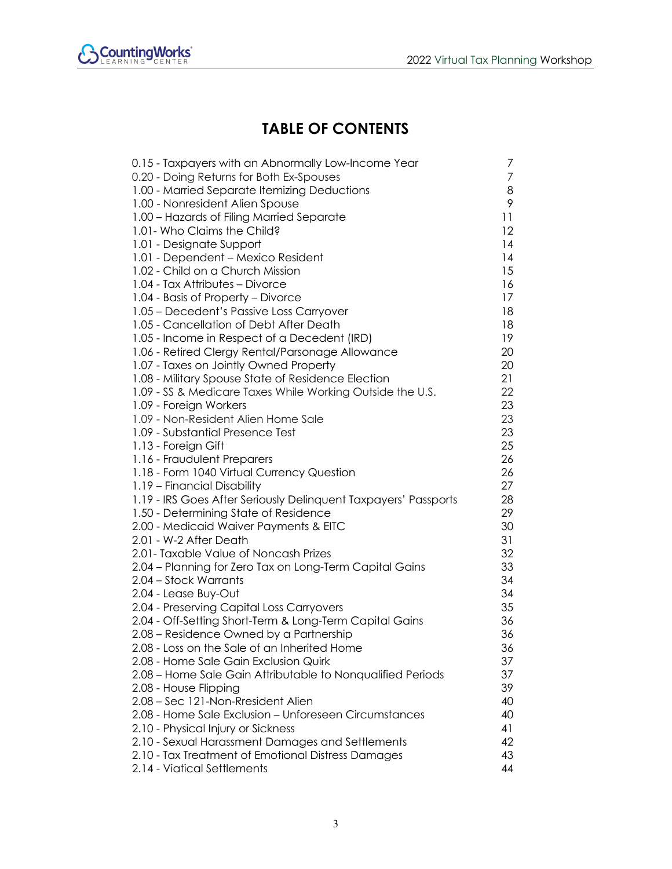

## **TABLE OF CONTENTS**

| 0.15 - Taxpayers with an Abnormally Low-Income Year             | 7  |
|-----------------------------------------------------------------|----|
| 0.20 - Doing Returns for Both Ex-Spouses                        | 7  |
| 1.00 - Married Separate Itemizing Deductions                    | 8  |
| 1.00 - Nonresident Alien Spouse                                 | 9  |
| 1.00 - Hazards of Filing Married Separate                       | 11 |
| 1.01- Who Claims the Child?                                     | 12 |
| 1.01 - Designate Support                                        | 14 |
| 1.01 - Dependent – Mexico Resident                              | 14 |
| 1.02 - Child on a Church Mission                                | 15 |
| 1.04 - Tax Attributes - Divorce                                 | 16 |
| 1.04 - Basis of Property – Divorce                              | 17 |
| 1.05 - Decedent's Passive Loss Carryover                        | 18 |
| 1.05 - Cancellation of Debt After Death                         | 18 |
| 1.05 - Income in Respect of a Decedent (IRD)                    | 19 |
| 1.06 - Retired Clergy Rental/Parsonage Allowance                | 20 |
| 1.07 - Taxes on Jointly Owned Property                          | 20 |
| 1.08 - Military Spouse State of Residence Election              | 21 |
| 1.09 - SS & Medicare Taxes While Working Outside the U.S.       | 22 |
| 1.09 - Foreign Workers                                          | 23 |
| 1.09 - Non-Resident Alien Home Sale                             | 23 |
| 1.09 - Substantial Presence Test                                | 23 |
| 1.13 - Foreign Gift                                             | 25 |
| 1.16 - Fraudulent Preparers                                     | 26 |
| 1.18 - Form 1040 Virtual Currency Question                      | 26 |
| 1.19 - Financial Disability                                     | 27 |
| 1.19 - IRS Goes After Seriously Delinquent Taxpayers' Passports | 28 |
| 1.50 - Determining State of Residence                           | 29 |
| 2.00 - Medicaid Waiver Payments & EITC                          | 30 |
| 2.01 - W-2 After Death                                          | 31 |
| 2.01- Taxable Value of Noncash Prizes                           | 32 |
| 2.04 - Planning for Zero Tax on Long-Term Capital Gains         | 33 |
| 2.04 - Stock Warrants                                           | 34 |
| 2.04 - Lease Buy-Out                                            | 34 |
| 2.04 - Preserving Capital Loss Carryovers                       | 35 |
| 2.04 - Off-Setting Short-Term & Long-Term Capital Gains         | 36 |
| 2.08 - Residence Owned by a Partnership                         | 36 |
| 2.08 - Loss on the Sale of an Inherited Home                    | 36 |
| 2.08 - Home Sale Gain Exclusion Quirk                           | 37 |
| 2.08 - Home Sale Gain Attributable to Nonqualified Periods      | 37 |
| 2.08 - House Flipping                                           | 39 |
| 2.08 - Sec 121-Non-Rresident Alien                              | 40 |
| 2.08 - Home Sale Exclusion - Unforeseen Circumstances           | 40 |
| 2.10 - Physical Injury or Sickness                              | 41 |
| 2.10 - Sexual Harassment Damages and Settlements                | 42 |
| 2.10 - Tax Treatment of Emotional Distress Damages              | 43 |
| 2.14 - Viatical Settlements                                     | 44 |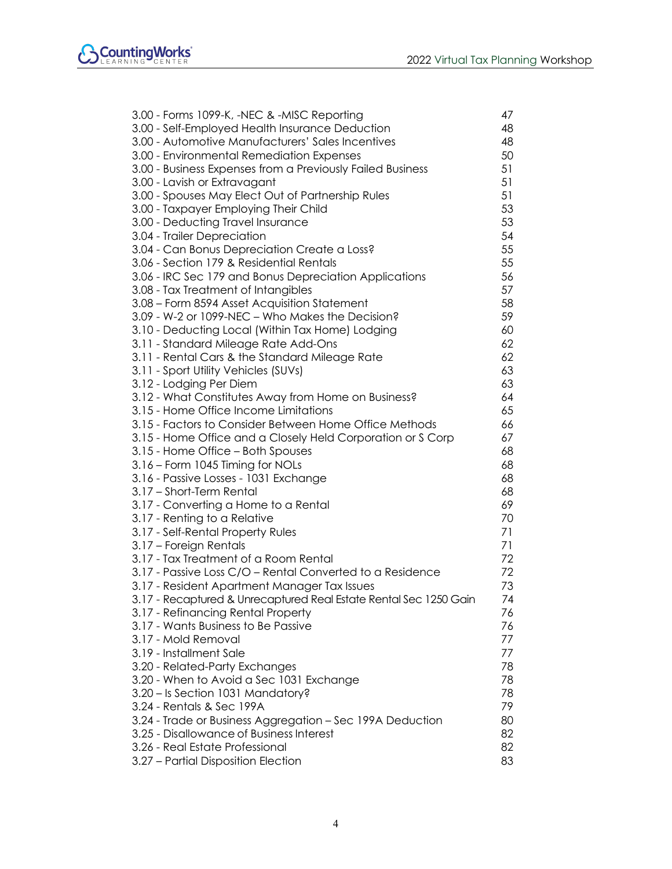| 3.00 - Forms 1099-K, -NEC & -MISC Reporting                       | 47 |
|-------------------------------------------------------------------|----|
| 3.00 - Self-Employed Health Insurance Deduction                   | 48 |
| 3.00 - Automotive Manufacturers' Sales Incentives                 | 48 |
| 3.00 - Environmental Remediation Expenses                         | 50 |
| 3.00 - Business Expenses from a Previously Failed Business        | 51 |
| 3.00 - Lavish or Extravagant                                      | 51 |
| 3.00 - Spouses May Elect Out of Partnership Rules                 | 51 |
| 3.00 - Taxpayer Employing Their Child                             | 53 |
| 3.00 - Deducting Travel Insurance                                 | 53 |
| 3.04 - Trailer Depreciation                                       | 54 |
| 3.04 - Can Bonus Depreciation Create a Loss?                      | 55 |
| 3.06 - Section 179 & Residential Rentals                          | 55 |
| 3.06 - IRC Sec 179 and Bonus Depreciation Applications            | 56 |
| 3.08 - Tax Treatment of Intangibles                               | 57 |
| 3.08 - Form 8594 Asset Acquisition Statement                      | 58 |
| 3.09 - W-2 or 1099-NEC - Who Makes the Decision?                  | 59 |
| 3.10 - Deducting Local (Within Tax Home) Lodging                  | 60 |
| 3.11 - Standard Mileage Rate Add-Ons                              | 62 |
| 3.11 - Rental Cars & the Standard Mileage Rate                    | 62 |
| 3.11 - Sport Utility Vehicles (SUVs)                              | 63 |
| 3.12 - Lodging Per Diem                                           | 63 |
| 3.12 - What Constitutes Away from Home on Business?               | 64 |
| 3.15 - Home Office Income Limitations                             | 65 |
| 3.15 - Factors to Consider Between Home Office Methods            | 66 |
| 3.15 - Home Office and a Closely Held Corporation or S Corp       | 67 |
| 3.15 - Home Office - Both Spouses                                 | 68 |
| 3.16 – Form 1045 Timing for NOLs                                  | 68 |
| 3.16 - Passive Losses - 1031 Exchange                             | 68 |
| 3.17 - Short-Term Rental                                          | 68 |
| 3.17 - Converting a Home to a Rental                              | 69 |
| 3.17 - Renting to a Relative                                      | 70 |
| 3.17 - Self-Rental Property Rules                                 | 71 |
| 3.17 - Foreign Rentals                                            | 71 |
| 3.17 - Tax Treatment of a Room Rental                             | 72 |
| 3.17 - Passive Loss C/O - Rental Converted to a Residence         | 72 |
| 3.17 - Resident Apartment Manager Tax Issues                      | 73 |
| 3.17 - Recaptured & Unrecaptured Real Estate Rental Sec 1250 Gain | 74 |
| 3.17 - Refinancing Rental Property                                | 76 |
| 3.17 - Wants Business to Be Passive                               | 76 |
| 3.17 - Mold Removal                                               | 77 |
| 3.19 - Installment Sale                                           | 77 |
| 3.20 - Related-Party Exchanges                                    | 78 |
| 3.20 - When to Avoid a Sec 1031 Exchange                          | 78 |
| 3.20 - Is Section 1031 Mandatory?                                 | 78 |
| 3.24 - Rentals & Sec 199A                                         | 79 |
| 3.24 - Trade or Business Aggregation - Sec 199A Deduction         | 80 |
| 3.25 - Disallowance of Business Interest                          | 82 |
| 3.26 - Real Estate Professional                                   | 82 |
| 3.27 - Partial Disposition Election                               | 83 |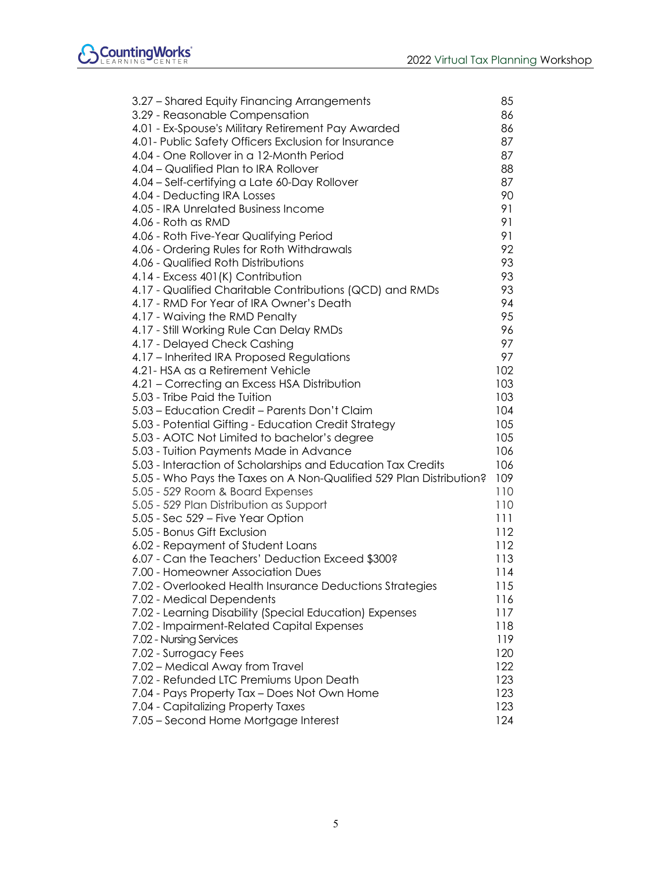| 3.27 - Shared Equity Financing Arrangements                         | 85  |
|---------------------------------------------------------------------|-----|
| 3.29 - Reasonable Compensation                                      | 86  |
| 4.01 - Ex-Spouse's Military Retirement Pay Awarded                  | 86  |
| 4.01- Public Safety Officers Exclusion for Insurance                | 87  |
| 4.04 - One Rollover in a 12-Month Period                            | 87  |
| 4.04 - Qualified Plan to IRA Rollover                               | 88  |
| 4.04 - Self-certifying a Late 60-Day Rollover                       | 87  |
| 4.04 - Deducting IRA Losses                                         | 90  |
| 4.05 - IRA Unrelated Business Income                                | 91  |
| 4.06 - Roth as RMD                                                  | 91  |
| 4.06 - Roth Five-Year Qualifying Period                             | 91  |
| 4.06 - Ordering Rules for Roth Withdrawals                          | 92  |
| 4.06 - Qualified Roth Distributions                                 | 93  |
| 4.14 - Excess 401(K) Contribution                                   | 93  |
| 4.17 - Qualified Charitable Contributions (QCD) and RMDs            | 93  |
| 4.17 - RMD For Year of IRA Owner's Death                            | 94  |
| 4.17 - Waiving the RMD Penalty                                      | 95  |
| 4.17 - Still Working Rule Can Delay RMDs                            | 96  |
| 4.17 - Delayed Check Cashing                                        | 97  |
| 4.17 - Inherited IRA Proposed Regulations                           | 97  |
| 4.21- HSA as a Retirement Vehicle                                   | 102 |
| 4.21 - Correcting an Excess HSA Distribution                        | 103 |
| 5.03 - Tribe Paid the Tuition                                       | 103 |
| 5.03 - Education Credit - Parents Don't Claim                       | 104 |
| 5.03 - Potential Gifting - Education Credit Strategy                | 105 |
| 5.03 - AOTC Not Limited to bachelor's degree                        | 105 |
| 5.03 - Tuition Payments Made in Advance                             | 106 |
| 5.03 - Interaction of Scholarships and Education Tax Credits        | 106 |
| 5.05 - Who Pays the Taxes on A Non-Qualified 529 Plan Distribution? | 109 |
| 5.05 - 529 Room & Board Expenses                                    | 110 |
| 5.05 - 529 Plan Distribution as Support                             | 110 |
| 5.05 - Sec 529 – Five Year Option                                   | 111 |
| 5.05 - Bonus Gift Exclusion                                         | 112 |
| 6.02 - Repayment of Student Loans                                   | 112 |
| 6.07 - Can the Teachers' Deduction Exceed \$300?                    | 113 |
| 7.00 - Homeowner Association Dues                                   | 114 |
| 7.02 - Overlooked Health Insurance Deductions Strategies            | 115 |
| 7.02 - Medical Dependents                                           | 116 |
| 7.02 - Learning Disability (Special Education) Expenses             | 117 |
| 7.02 - Impairment-Related Capital Expenses                          | 118 |
| 7.02 - Nursing Services                                             | 119 |
| 7.02 - Surrogacy Fees                                               | 120 |
| 7.02 - Medical Away from Travel                                     | 122 |
| 7.02 - Refunded LTC Premiums Upon Death                             | 123 |
| 7.04 - Pays Property Tax - Does Not Own Home                        | 123 |
| 7.04 - Capitalizing Property Taxes                                  | 123 |
| 7.05 - Second Home Mortgage Interest                                | 124 |
|                                                                     |     |